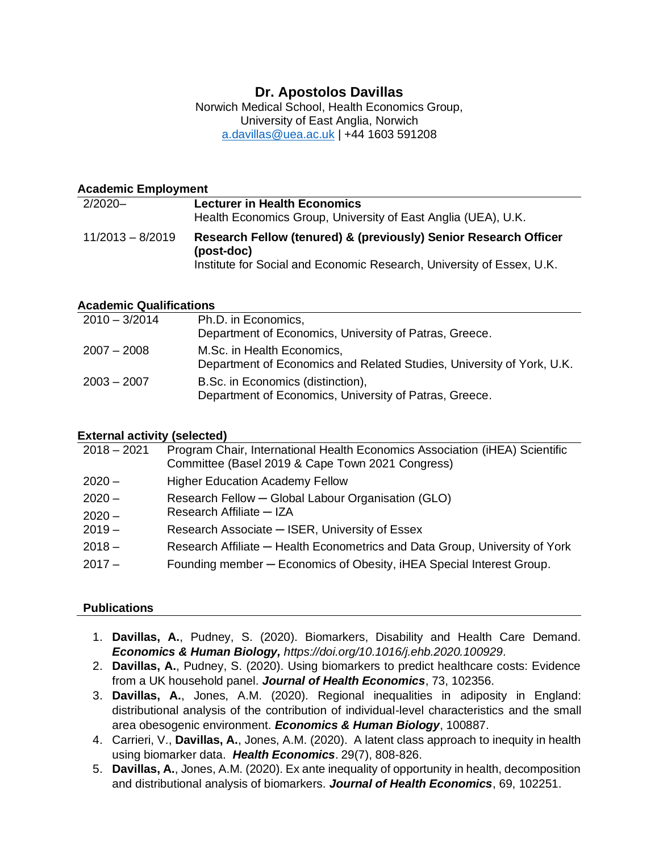# **Dr. Apostolos Davillas**

Norwich Medical School, Health Economics Group, University of East Anglia, Norwich [a.davillas@uea.ac.uk](mailto:a.davillas@uea.ac.uk) | +44 1603 591208

## **Academic Employment**

| 2/2020-            | <b>Lecturer in Health Economics</b><br>Health Economics Group, University of East Anglia (UEA), U.K.                                                    |
|--------------------|---------------------------------------------------------------------------------------------------------------------------------------------------------|
| $11/2013 - 8/2019$ | Research Fellow (tenured) & (previously) Senior Research Officer<br>(post-doc)<br>Institute for Social and Economic Research, University of Essex, U.K. |

### **Academic Qualifications**

| $2010 - 3/2014$ | Ph.D. in Economics,<br>Department of Economics, University of Patras, Greece.                       |
|-----------------|-----------------------------------------------------------------------------------------------------|
| $2007 - 2008$   | M.Sc. in Health Economics,<br>Department of Economics and Related Studies, University of York, U.K. |
| $2003 - 2007$   | B.Sc. in Economics (distinction),<br>Department of Economics, University of Patras, Greece.         |

#### **External activity (selected)**

| $2018 - 2021$ | Program Chair, International Health Economics Association (iHEA) Scientific<br>Committee (Basel 2019 & Cape Town 2021 Congress) |
|---------------|---------------------------------------------------------------------------------------------------------------------------------|
| $2020 -$      | <b>Higher Education Academy Fellow</b>                                                                                          |
| $2020 -$      | Research Fellow - Global Labour Organisation (GLO)                                                                              |
| $2020 -$      | Research Affiliate - IZA                                                                                                        |
| $2019 -$      | Research Associate - ISER, University of Essex                                                                                  |
| $2018 -$      | Research Affiliate – Health Econometrics and Data Group, University of York                                                     |
| $2017 -$      | Founding member - Economics of Obesity, iHEA Special Interest Group.                                                            |

## **Publications**

- 1. **Davillas, A.**, Pudney, S. (2020). Biomarkers, Disability and Health Care Demand. *Economics & Human Biology, [https://doi.org/10.1016/j.ehb.2020.100929.](https://doi.org/10.1016/j.ehb.2020.100929)*
- 2. **Davillas, A.**, Pudney, S. (2020). Using biomarkers to predict healthcare costs: Evidence from a UK household panel. *Journal of Health Economics*, 73, 102356.
- 3. **Davillas, A.**, Jones, A.M. (2020). Regional inequalities in adiposity in England: distributional analysis of the contribution of individual-level characteristics and the small area obesogenic environment. *Economics & Human Biology*, 100887.
- 4. Carrieri, V., **Davillas, A.**, Jones, A.M. (2020). A latent class approach to inequity in health using biomarker data. *Health Economics*. 29(7), 808-826.
- 5. **Davillas, A.**, Jones, A.M. (2020). Ex ante inequality of opportunity in health, decomposition and distributional analysis of biomarkers. *Journal of Health Economics*, 69, 102251.